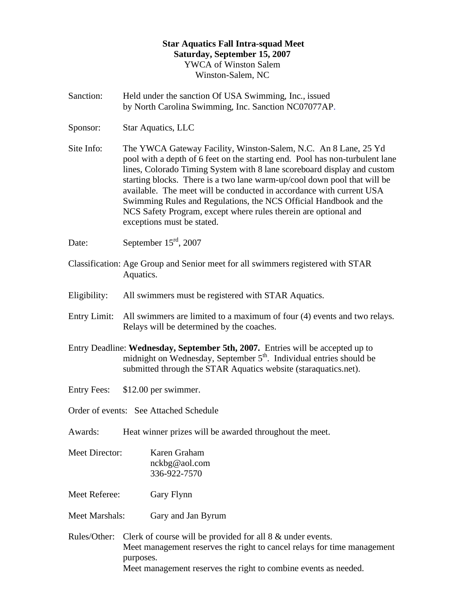## **Star Aquatics Fall Intra-squad Meet Saturday, September 15, 2007**  YWCA of Winston Salem Winston-Salem, NC

- Sanction: Held under the sanction Of USA Swimming, Inc., issued by North Carolina Swimming, Inc. Sanction NC07077AP.
- Sponsor: Star Aquatics, LLC

Site Info: The YWCA Gateway Facility, Winston-Salem, N.C. An 8 Lane, 25 Yd pool with a depth of 6 feet on the starting end. Pool has non-turbulent lane lines, Colorado Timing System with 8 lane scoreboard display and custom starting blocks. There is a two lane warm-up/cool down pool that will be available. The meet will be conducted in accordance with current USA Swimming Rules and Regulations, the NCS Official Handbook and the NCS Safety Program, except where rules therein are optional and exceptions must be stated.

Date: September 15<sup>rd</sup>, 2007

- Classification: Age Group and Senior meet for all swimmers registered with STAR Aquatics.
- Eligibility: All swimmers must be registered with STAR Aquatics.
- Entry Limit: All swimmers are limited to a maximum of four (4) events and two relays. Relays will be determined by the coaches.
- Entry Deadline: **Wednesday, September 5th, 2007.** Entries will be accepted up to midnight on Wednesday, September  $5<sup>th</sup>$ . Individual entries should be submitted through the STAR Aquatics website (staraquatics.net).
- Entry Fees: \$12.00 per swimmer.
- Order of events: See Attached Schedule
- Awards: Heat winner prizes will be awarded throughout the meet.
- Meet Director: Karen Graham nckbg@aol.com 336-922-7570

Meet Referee: Gary Flynn

- Meet Marshals: Gary and Jan Byrum
- Rules/Other: Clerk of course will be provided for all 8 & under events. Meet management reserves the right to cancel relays for time management purposes. Meet management reserves the right to combine events as needed.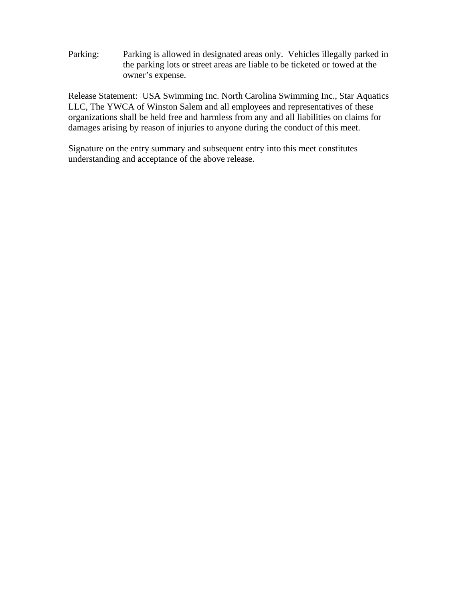Parking: Parking is allowed in designated areas only. Vehicles illegally parked in the parking lots or street areas are liable to be ticketed or towed at the owner's expense.

Release Statement: USA Swimming Inc. North Carolina Swimming Inc., Star Aquatics LLC, The YWCA of Winston Salem and all employees and representatives of these organizations shall be held free and harmless from any and all liabilities on claims for damages arising by reason of injuries to anyone during the conduct of this meet.

Signature on the entry summary and subsequent entry into this meet constitutes understanding and acceptance of the above release.